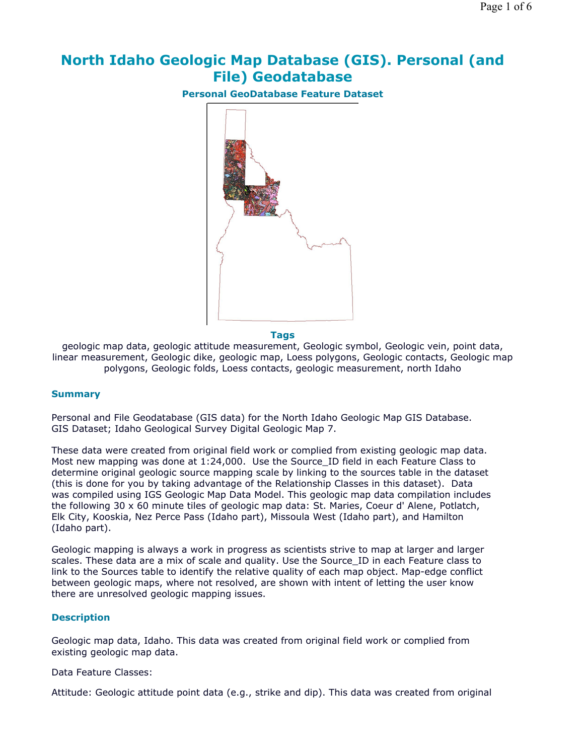# **North Idaho Geologic Map Database (GIS). Personal (and File) Geodatabase**

**Personal GeoDatabase Feature Dataset**



#### **Tags**

geologic map data, geologic attitude measurement, Geologic symbol, Geologic vein, point data, linear measurement, Geologic dike, geologic map, Loess polygons, Geologic contacts, Geologic map polygons, Geologic folds, Loess contacts, geologic measurement, north Idaho

## **Summary**

Personal and File Geodatabase (GIS data) for the North Idaho Geologic Map GIS Database. GIS Dataset; Idaho Geological Survey Digital Geologic Map 7.

These data were created from original field work or complied from existing geologic map data. Most new mapping was done at 1:24,000. Use the Source ID field in each Feature Class to determine original geologic source mapping scale by linking to the sources table in the dataset (this is done for you by taking advantage of the Relationship Classes in this dataset). Data was compiled using IGS Geologic Map Data Model. This geologic map data compilation includes the following 30 x 60 minute tiles of geologic map data: St. Maries, Coeur d' Alene, Potlatch, Elk City, Kooskia, Nez Perce Pass (Idaho part), Missoula West (Idaho part), and Hamilton (Idaho part).

Geologic mapping is always a work in progress as scientists strive to map at larger and larger scales. These data are a mix of scale and quality. Use the Source\_ID in each Feature class to link to the Sources table to identify the relative quality of each map object. Map-edge conflict between geologic maps, where not resolved, are shown with intent of letting the user know there are unresolved geologic mapping issues.

## **Description**

Geologic map data, Idaho. This data was created from original field work or complied from existing geologic map data.

#### Data Feature Classes:

Attitude: Geologic attitude point data (e.g., strike and dip). This data was created from original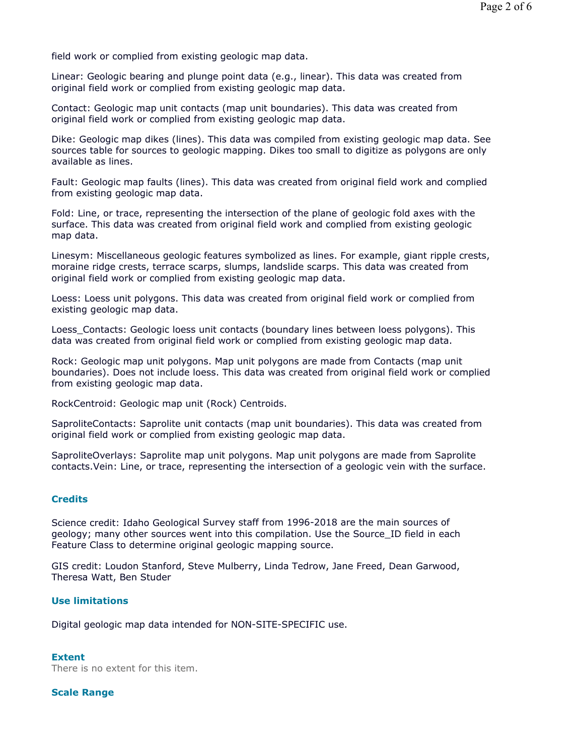field work or complied from existing geologic map data.

Linear: Geologic bearing and plunge point data (e.g., linear). This data was created from original field work or complied from existing geologic map data.

Contact: Geologic map unit contacts (map unit boundaries). This data was created from original field work or complied from existing geologic map data.

Dike: Geologic map dikes (lines). This data was compiled from existing geologic map data. See sources table for sources to geologic mapping. Dikes too small to digitize as polygons are only available as lines.

Fault: Geologic map faults (lines). This data was created from original field work and complied from existing geologic map data.

Fold: Line, or trace, representing the intersection of the plane of geologic fold axes with the surface. This data was created from original field work and complied from existing geologic map data.

Linesym: Miscellaneous geologic features symbolized as lines. For example, giant ripple crests, moraine ridge crests, terrace scarps, slumps, landslide scarps. This data was created from original field work or complied from existing geologic map data.

Loess: Loess unit polygons. This data was created from original field work or complied from existing geologic map data.

Loess Contacts: Geologic loess unit contacts (boundary lines between loess polygons). This data was created from original field work or complied from existing geologic map data.

Rock: Geologic map unit polygons. Map unit polygons are made from Contacts (map unit boundaries). Does not include loess. This data was created from original field work or complied from existing geologic map data.

RockCentroid: Geologic map unit (Rock) Centroids.

SaproliteContacts: Saprolite unit contacts (map unit boundaries). This data was created from original field work or complied from existing geologic map data.

SaproliteOverlays: Saprolite map unit polygons. Map unit polygons are made from Saprolite contacts.Vein: Line, or trace, representing the intersection of a geologic vein with the surface.

## **Credits**

Science credit: Idaho Geological Survey staff from 1996-2018 are the main sources of geology; many other sources went into this compilation. Use the Source\_ID field in each Feature Class to determine original geologic mapping source.

GIS credit: Loudon Stanford, Steve Mulberry, Linda Tedrow, Jane Freed, Dean Garwood, Theresa Watt, Ben Studer

## **Use limitations**

Digital geologic map data intended for NON-SITE-SPECIFIC use.

## **Extent**

There is no extent for this item.

## **Scale Range**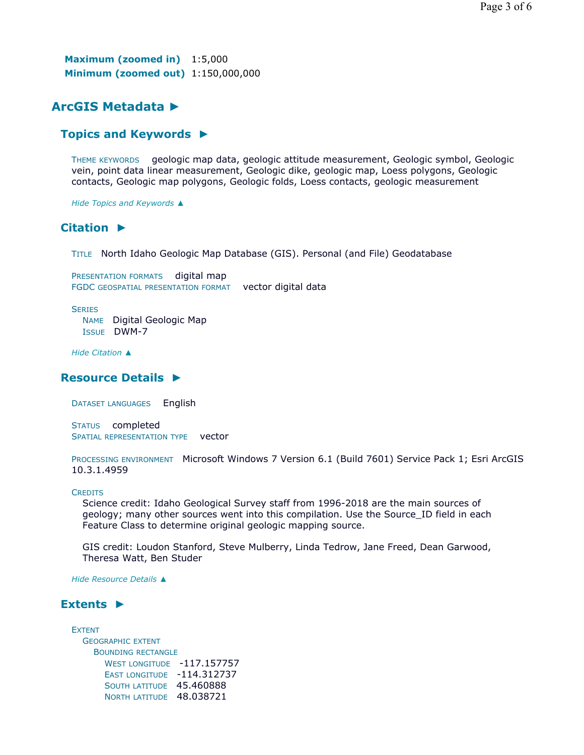**Maximum (zoomed in)** 1:5,000 **Minimum (zoomed out)** 1:150,000,000

# **ArcGIS Metadata ►**

## **Topics and Keywords ►**

THEME KEYWORDS geologic map data, geologic attitude measurement, Geologic symbol, Geologic vein, point data linear measurement, Geologic dike, geologic map, Loess polygons, Geologic contacts, Geologic map polygons, Geologic folds, Loess contacts, geologic measurement

*Hide Topics and Keywords ▲*

## **Citation ►**

TITLE North Idaho Geologic Map Database (GIS). Personal (and File) Geodatabase

PRESENTATION FORMATS digital map FGDC GEOSPATIAL PRESENTATION FORMAT vector digital data

**SERIES** 

NAME Digital Geologic Map ISSUE DWM-7

*Hide Citation ▲*

## **Resource Details ►**

DATASET LANGUAGES English

STATUS completed SPATIAL REPRESENTATION TYPE vector

PROCESSING ENVIRONMENT Microsoft Windows 7 Version 6.1 (Build 7601) Service Pack 1; Esri ArcGIS 10.3.1.4959

## **CREDITS**

Science credit: Idaho Geological Survey staff from 1996-2018 are the main sources of geology; many other sources went into this compilation. Use the Source\_ID field in each Feature Class to determine original geologic mapping source.

GIS credit: Loudon Stanford, Steve Mulberry, Linda Tedrow, Jane Freed, Dean Garwood, Theresa Watt, Ben Studer

*Hide Resource Details ▲*

## **Extents ►**

EXTENT GEOGRAPHIC EXTENT BOUNDING RECTANGLE WEST LONGITUDE -117.157757 EAST LONGITUDE -114.312737 SOUTH LATITUDE 45.460888 NORTH LATITUDE 48.038721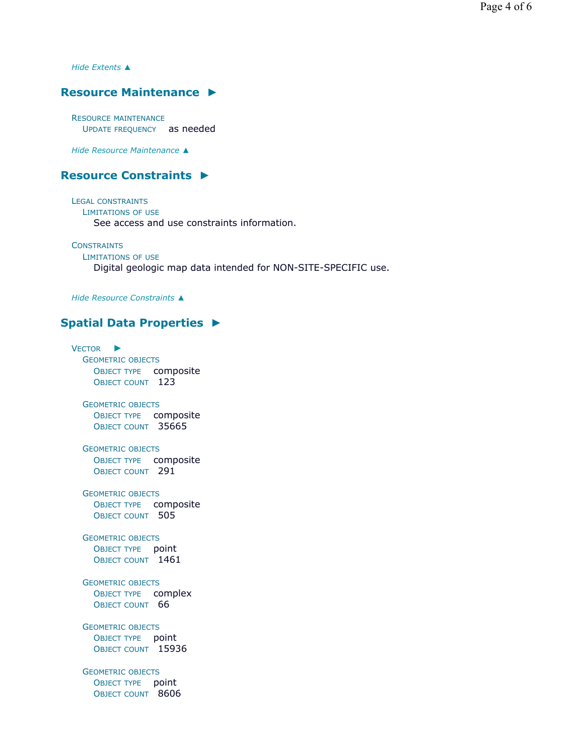*Hide Extents ▲*

## **Resource Maintenance ►**

RESOURCE MAINTENANCE UPDATE FREQUENCY as needed

*Hide Resource Maintenance ▲*

## **Resource Constraints ►**

LEGAL CONSTRAINTS LIMITATIONS OF USE See access and use constraints information.

**CONSTRAINTS** LIMITATIONS OF USE Digital geologic map data intended for NON-SITE-SPECIFIC use.

*Hide Resource Constraints ▲*

## **Spatial Data Properties ►**

VECTOR ► GEOMETRIC OBJECTS OBJECT TYPE composite OBJECT COUNT 123 GEOMETRIC OBJECTS OBJECT TYPE composite OBJECT COUNT 35665 GEOMETRIC OBJECTS OBJECT TYPE composite OBJECT COUNT 291 GEOMETRIC OBJECTS OBJECT TYPE composite OBJECT COUNT 505 GEOMETRIC OBJECTS OBJECT TYPE point OBJECT COUNT 1461 GEOMETRIC OBJECTS OBJECT TYPE complex OBJECT COUNT 66 GEOMETRIC OBJECTS OBJECT TYPE point OBJECT COUNT 15936 GEOMETRIC OBJECTS OBJECT TYPE point OBJECT COUNT 8606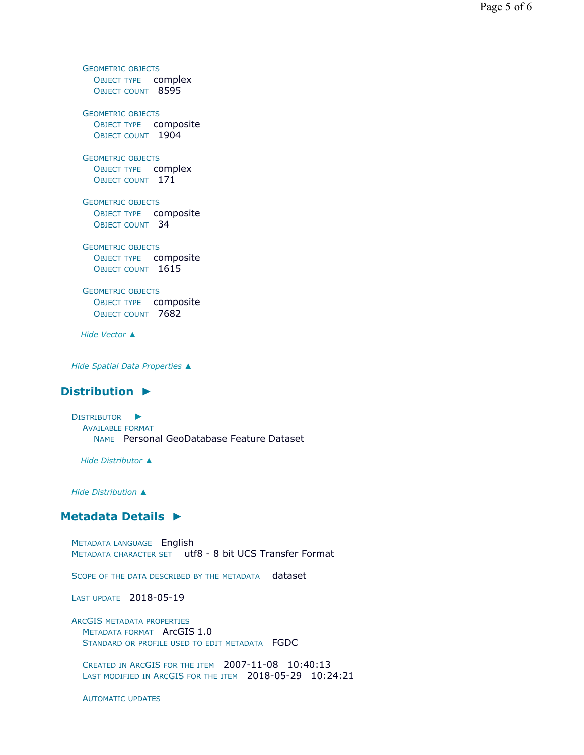GEOMETRIC OBJECTS OBJECT TYPE complex OBJECT COUNT 8595 GEOMETRIC OBJECTS OBJECT TYPE composite OBJECT COUNT 1904 GEOMETRIC OBJECTS OBJECT TYPE complex OBJECT COUNT 171 GEOMETRIC OBJECTS OBJECT TYPE composite OBJECT COUNT 34 GEOMETRIC OBJECTS OBJECT TYPE composite OBJECT COUNT 1615 GEOMETRIC OBJECTS OBJECT TYPE composite OBJECT COUNT 7682 *Hide Vector ▲*

*Hide Spatial Data Properties ▲*

## **Distribution ►**

DISTRIBUTOR ► AVAILABLE FORMAT NAME Personal GeoDatabase Feature Dataset

*Hide Distributor ▲*

*Hide Distribution ▲*

## **Metadata Details ►**

METADATA LANGUAGE English METADATA CHARACTER SET utf8 - 8 bit UCS Transfer Format

SCOPE OF THE DATA DESCRIBED BY THE METADATA dataset

LAST UPDATE 2018-05-19

ARCGIS METADATA PROPERTIES METADATA FORMAT ArcGIS 1.0 STANDARD OR PROFILE USED TO EDIT METADATA FGDC

CREATED IN ARCGIS FOR THE ITEM 2007-11-08 10:40:13 LAST MODIFIED IN ARCGIS FOR THE ITEM 2018-05-29 10:24:21

AUTOMATIC UPDATES